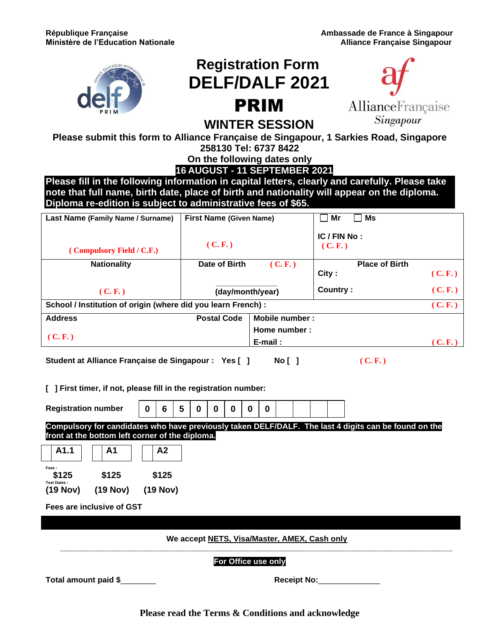

## **Registration Form DELF/DALF 2021** PRIM



## **WINTER SESSION**

**Please submit this form to Alliance Française de Singapour, 1 Sarkies Road, Singapore** 

**258130 Tel: 6737 8422**

**On the following dates only**

**16 AUGUST - 11 SEPTEMBER 2021**

**Please fill in the following information in capital letters, clearly and carefully. Please take note that full name, birth date, place of birth and nationality will appear on the diploma. Diploma re-edition is subject to administrative fees of \$65.** 

| <b>Ms</b><br>Mr<br><b>First Name (Given Name)</b><br>Last Name (Family Name / Surname) |        |
|----------------------------------------------------------------------------------------|--------|
| IC / FIN No:<br>(C, F)<br>(C, F)<br>(Compulsory Field / C.F.)                          |        |
| Date of Birth<br><b>Place of Birth</b><br><b>Nationality</b><br>(C, F)                 |        |
| City:                                                                                  | (C.F.) |
| Country:<br>(day/month/year)<br>(C, F)                                                 | (C, F) |
| School / Institution of origin (where did you learn French) :                          | (C, F) |
| <b>Address</b><br><b>Postal Code</b><br>Mobile number:                                 |        |
| Home number:                                                                           |        |
| (C. F.)<br>E-mail:                                                                     | (C, F) |

**Student at Alliance Française de Singapour : Yes [ ] No [ ] ( C. F. )**

**[ ] First timer, if not, please fill in the registration number:**

**Registration number Compulsory for candidates who have previously taken DELF/DALF. The last 4 digits can be found on the front at the bottom left corner of the diploma. A1.1 A1 A2 Fees : \$125 \$125 \$125 Test Dates : (19 Nov) (19 Nov) (19 Nov) Fees are inclusive of GST 0 6 5 0 0 0 0 0**

**We accept NETS, Visa/Master, AMEX, Cash only \_\_\_\_\_\_\_\_\_\_\_\_\_\_\_\_\_\_\_\_\_\_\_\_\_\_\_\_\_\_\_\_\_\_\_\_\_\_\_\_\_\_\_\_\_\_\_\_\_\_\_\_\_\_\_\_\_\_\_\_\_\_\_\_\_\_\_\_\_\_\_\_\_\_\_\_\_\_\_\_\_\_\_\_\_\_\_\_\_**

**For Office use only**

**Total amount paid \$**\_\_\_\_\_\_\_\_ **Receipt No:**\_\_\_\_\_\_\_\_\_\_\_\_\_\_